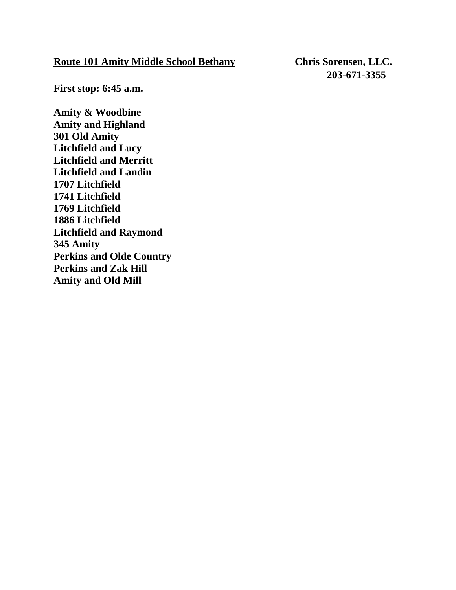### **Route 101 Amity Middle School Bethany Chris Sorensen, LLC.**

 **203-671-3355** 

**First stop: 6:45 a.m.**

**Amity & Woodbine Amity and Highland 301 Old Amity Litchfield and Lucy Litchfield and Merritt Litchfield and Landin 1707 Litchfield 1741 Litchfield 1769 Litchfield 1886 Litchfield Litchfield and Raymond 345 Amity Perkins and Olde Country Perkins and Zak Hill Amity and Old Mill**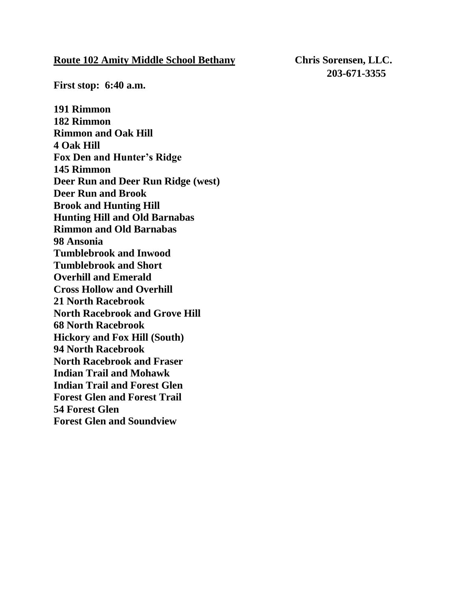### **Route 102 Amity Middle School Bethany Chris Sorensen, LLC.**

 **203-671-3355** 

**First stop: 6:40 a.m.** 

**191 Rimmon 182 Rimmon Rimmon and Oak Hill 4 Oak Hill Fox Den and Hunter's Ridge 145 Rimmon Deer Run and Deer Run Ridge (west) Deer Run and Brook Brook and Hunting Hill Hunting Hill and Old Barnabas Rimmon and Old Barnabas 98 Ansonia Tumblebrook and Inwood Tumblebrook and Short Overhill and Emerald Cross Hollow and Overhill 21 North Racebrook North Racebrook and Grove Hill 68 North Racebrook Hickory and Fox Hill (South) 94 North Racebrook North Racebrook and Fraser Indian Trail and Mohawk Indian Trail and Forest Glen Forest Glen and Forest Trail 54 Forest Glen Forest Glen and Soundview**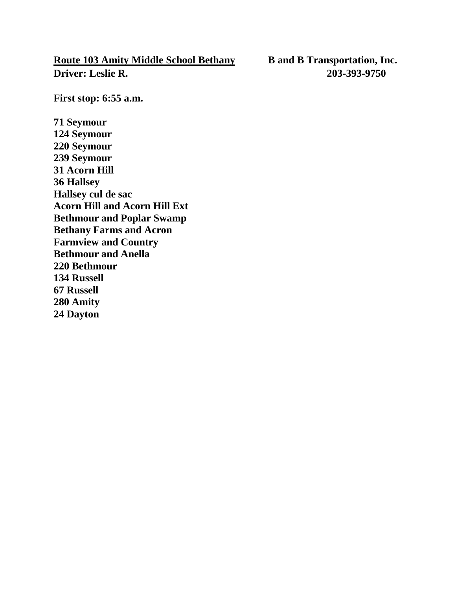# **Route 103 Amity Middle School Bethany B and B Transportation, Inc. Driver: Leslie R. 203-393-9750**

**First stop: 6:55 a.m.** 

**71 Seymour 124 Seymour 220 Seymour 239 Seymour 31 Acorn Hill 36 Hallsey Hallsey cul de sac Acorn Hill and Acorn Hill Ext Bethmour and Poplar Swamp Bethany Farms and Acron Farmview and Country Bethmour and Anella 220 Bethmour 134 Russell 67 Russell 280 Amity 24 Dayton**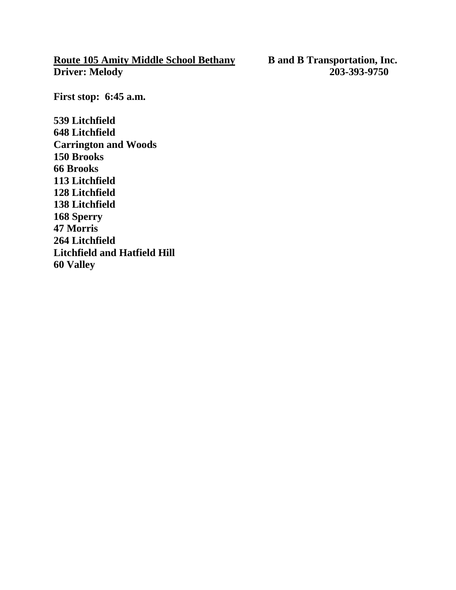# **Route 105 Amity Middle School Bethany B and B Transportation, Inc.<br>Driver: Melody 203-393-9750 Driver: Melody**

**First stop: 6:45 a.m.** 

**539 Litchfield 648 Litchfield Carrington and Woods 150 Brooks 66 Brooks 113 Litchfield 128 Litchfield 138 Litchfield 168 Sperry 47 Morris 264 Litchfield Litchfield and Hatfield Hill 60 Valley**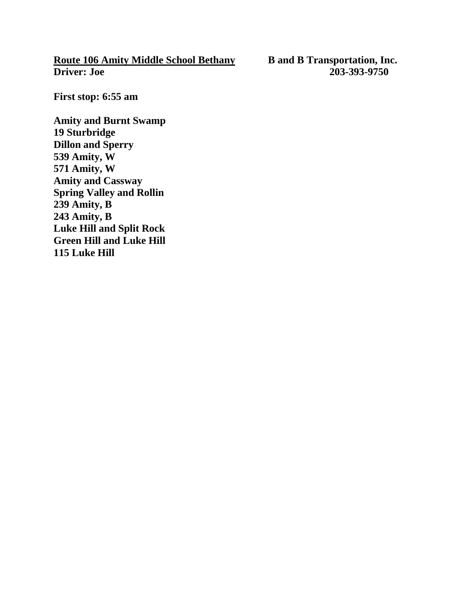**Route 106 Amity Middle School Bethany B** and B Transportation, Inc.<br>Driver: Joe 203-393-9750

**Driver: Joe 203-393-9750**

**First stop: 6:55 am**

**Amity and Burnt Swamp 19 Sturbridge Dillon and Sperry 539 Amity, W 571 Amity, W Amity and Cassway Spring Valley and Rollin 239 Amity, B 243 Amity, B Luke Hill and Split Rock Green Hill and Luke Hill 115 Luke Hill**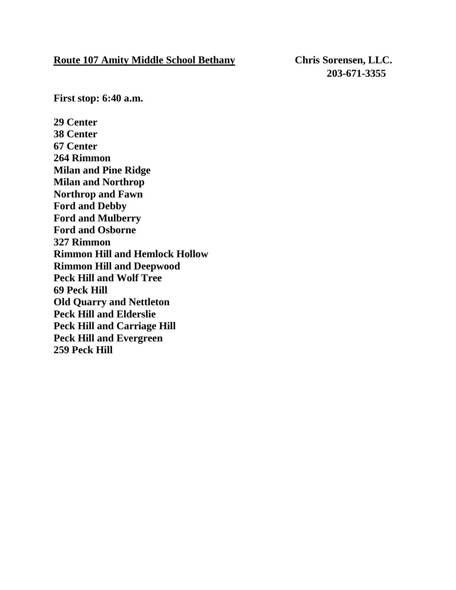### **Route 107 Amity Middle School Bethany Chris Sorensen, LLC.**

 **203-671-3355** 

**First stop: 6:40 a.m.**

**29 Center 38 Center 67 Center 264 Rimmon Milan and Pine Ridge Milan and Northrop Northrop and Fawn Ford and Debby Ford and Mulberry Ford and Osborne 327 Rimmon Rimmon Hill and Hemlock Hollow Rimmon Hill and Deepwood Peck Hill and Wolf Tree 69 Peck Hill Old Quarry and Nettleton Peck Hill and Elderslie Peck Hill and Carriage Hill Peck Hill and Evergreen 259 Peck Hill**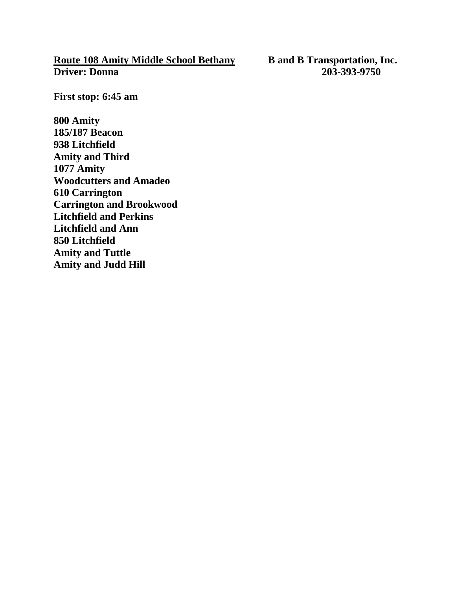# **Route 108 Amity Middle School Bethany B** and B Transportation, Inc.<br>Driver: Donna 203-393-9750 **Driver: Donna**

**First stop: 6:45 am**

**800 Amity 185/187 Beacon 938 Litchfield Amity and Third 1077 Amity Woodcutters and Amadeo 610 Carrington Carrington and Brookwood Litchfield and Perkins Litchfield and Ann 850 Litchfield Amity and Tuttle Amity and Judd Hill**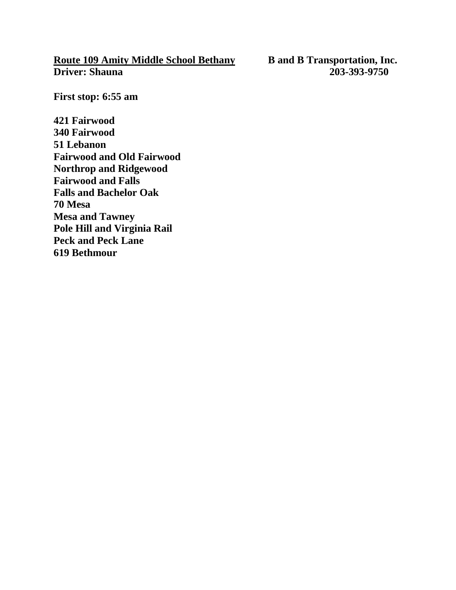# **Route 109 Amity Middle School Bethany B** and B Transportation, Inc.<br>Driver: Shauna 203-393-9750 **Driver: Shauna**

**First stop: 6:55 am**

**421 Fairwood 340 Fairwood 51 Lebanon Fairwood and Old Fairwood Northrop and Ridgewood Fairwood and Falls Falls and Bachelor Oak 70 Mesa Mesa and Tawney Pole Hill and Virginia Rail Peck and Peck Lane 619 Bethmour**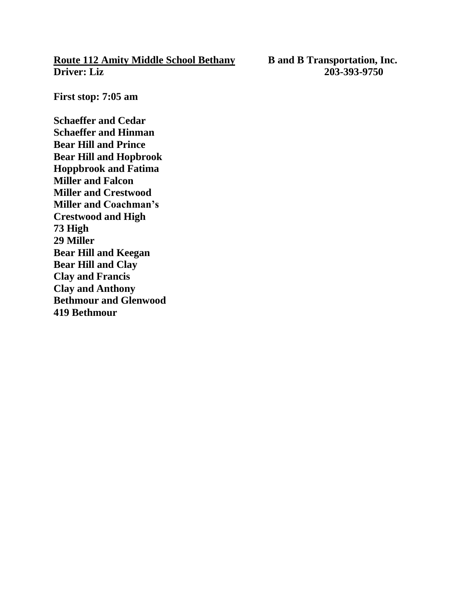# **Route 112 Amity Middle School Bethany B and B Transportation, Inc.**<br>Driver: Liz 203-393-9750

**Driver: Liz 203-393-9750**

**First stop: 7:05 am**

**Schaeffer and Cedar Schaeffer and Hinman Bear Hill and Prince Bear Hill and Hopbrook Hoppbrook and Fatima Miller and Falcon Miller and Crestwood Miller and Coachman's Crestwood and High 73 High 29 Miller Bear Hill and Keegan Bear Hill and Clay Clay and Francis Clay and Anthony Bethmour and Glenwood 419 Bethmour**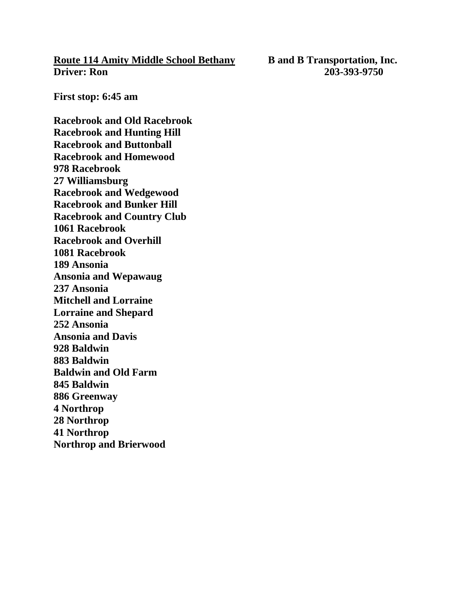## **Route 114 Amity Middle School Bethany B and B Transportation, Inc. Driver: Ron 203-393-9750**

**First stop: 6:45 am**

**Racebrook and Old Racebrook Racebrook and Hunting Hill Racebrook and Buttonball Racebrook and Homewood 978 Racebrook 27 Williamsburg Racebrook and Wedgewood Racebrook and Bunker Hill Racebrook and Country Club 1061 Racebrook Racebrook and Overhill 1081 Racebrook 189 Ansonia Ansonia and Wepawaug 237 Ansonia Mitchell and Lorraine Lorraine and Shepard 252 Ansonia Ansonia and Davis 928 Baldwin 883 Baldwin Baldwin and Old Farm 845 Baldwin 886 Greenway 4 Northrop 28 Northrop 41 Northrop Northrop and Brierwood**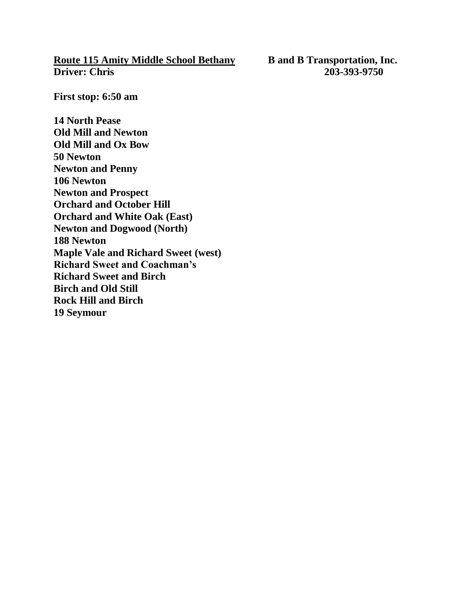## **Route 115 Amity Middle School Bethany B** and B Transportation, Inc.<br>Driver: Chris 203-393-9750 **Driver: Chris**

**First stop: 6:50 am**

**14 North Pease Old Mill and Newton Old Mill and Ox Bow 50 Newton Newton and Penny 106 Newton Newton and Prospect Orchard and October Hill Orchard and White Oak (East) Newton and Dogwood (North) 188 Newton Maple Vale and Richard Sweet (west) Richard Sweet and Coachman's Richard Sweet and Birch Birch and Old Still Rock Hill and Birch 19 Seymour**